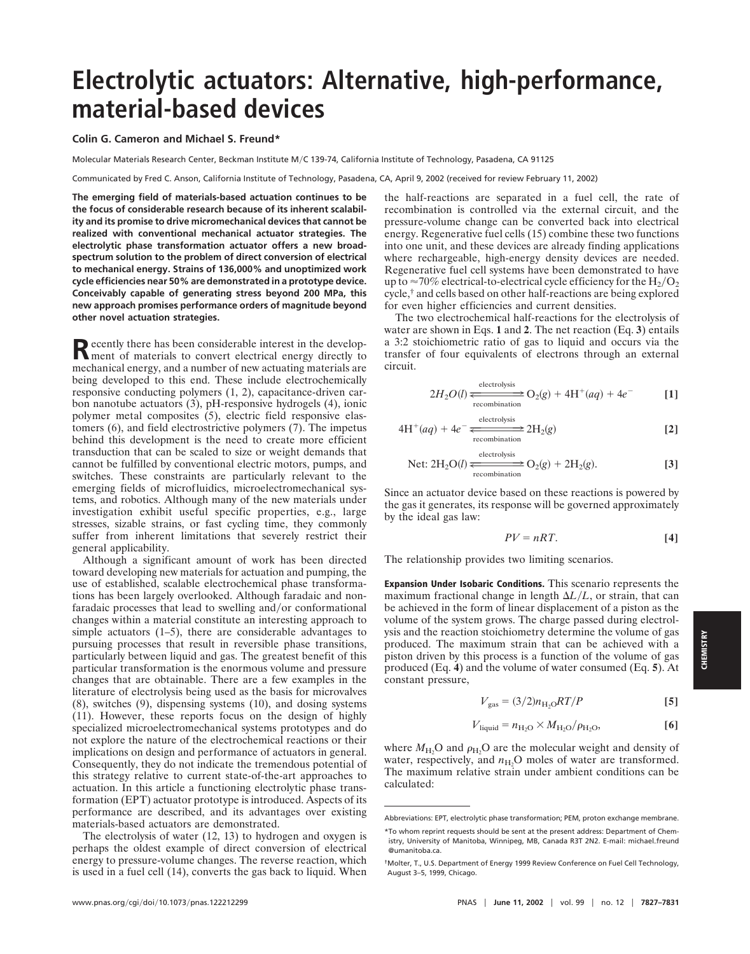# **Electrolytic actuators: Alternative, high-performance, material-based devices**

## **Colin G. Cameron and Michael S. Freund\***

Molecular Materials Research Center, Beckman Institute MC 139-74, California Institute of Technology, Pasadena, CA 91125

Communicated by Fred C. Anson, California Institute of Technology, Pasadena, CA, April 9, 2002 (received for review February 11, 2002)

**The emerging field of materials-based actuation continues to be the focus of considerable research because of its inherent scalability and its promise to drive micromechanical devices that cannot be realized with conventional mechanical actuator strategies. The electrolytic phase transformation actuator offers a new broadspectrum solution to the problem of direct conversion of electrical to mechanical energy. Strains of 136,000% and unoptimized work cycle efficiencies near 50% are demonstrated in a prototype device. Conceivably capable of generating stress beyond 200 MPa, this new approach promises performance orders of magnitude beyond other novel actuation strategies.**

Recently there has been considerable interest in the develop-<br>ment of materials to convert electrical energy directly to mechanical energy, and a number of new actuating materials are being developed to this end. These include electrochemically responsive conducting polymers (1, 2), capacitance-driven carbon nanotube actuators (3), pH-responsive hydrogels (4), ionic polymer metal composites (5), electric field responsive elastomers (6), and field electrostrictive polymers (7). The impetus behind this development is the need to create more efficient transduction that can be scaled to size or weight demands that cannot be fulfilled by conventional electric motors, pumps, and switches. These constraints are particularly relevant to the emerging fields of microfluidics, microelectromechanical systems, and robotics. Although many of the new materials under investigation exhibit useful specific properties, e.g., large stresses, sizable strains, or fast cycling time, they commonly suffer from inherent limitations that severely restrict their general applicability.

Although a significant amount of work has been directed toward developing new materials for actuation and pumping, the use of established, scalable electrochemical phase transformations has been largely overlooked. Although faradaic and nonfaradaic processes that lead to swelling and/or conformational changes within a material constitute an interesting approach to simple actuators (1–5), there are considerable advantages to pursuing processes that result in reversible phase transitions, particularly between liquid and gas. The greatest benefit of this particular transformation is the enormous volume and pressure changes that are obtainable. There are a few examples in the literature of electrolysis being used as the basis for microvalves (8), switches (9), dispensing systems (10), and dosing systems (11). However, these reports focus on the design of highly specialized microelectromechanical systems prototypes and do not explore the nature of the electrochemical reactions or their implications on design and performance of actuators in general. Consequently, they do not indicate the tremendous potential of this strategy relative to current state-of-the-art approaches to actuation. In this article a functioning electrolytic phase transformation (EPT) actuator prototype is introduced. Aspects of its performance are described, and its advantages over existing materials-based actuators are demonstrated.

The electrolysis of water (12, 13) to hydrogen and oxygen is perhaps the oldest example of direct conversion of electrical energy to pressure-volume changes. The reverse reaction, which is used in a fuel cell (14), converts the gas back to liquid. When

the half-reactions are separated in a fuel cell, the rate of recombination is controlled via the external circuit, and the pressure-volume change can be converted back into electrical energy. Regenerative fuel cells (15) combine these two functions into one unit, and these devices are already finding applications where rechargeable, high-energy density devices are needed. Regenerative fuel cell systems have been demonstrated to have up to  $\approx$ 70% electrical-to-electrical cycle efficiency for the H<sub>2</sub>/O<sub>2</sub> cycle,† and cells based on other half-reactions are being explored for even higher efficiencies and current densities.

The two electrochemical half-reactions for the electrolysis of water are shown in Eqs. **1** and **2**. The net reaction (Eq. **3**) entails a 3:2 stoichiometric ratio of gas to liquid and occurs via the transfer of four equivalents of electrons through an external circuit.

$$
2H_2O(l) \xrightarrow{\text{electrolysis}} O_2(g) + 4H^+(aq) + 4e^-
$$
 [1]

$$
2H_2O(t) \xleftarrow{\text{recombination}} O_2(g) + 4H^-(uq) + 4e \qquad [1]
$$
  
4H<sup>+</sup>(aq) + 4e<sup>-</sup>  $\xrightarrow{\text{electrolysis}} 2H_2(g)$  [2]

$$
1 (uq) + 4e \xleftarrow{\text{recombination}} 2\,\text{H}_2(g)
$$
\n
$$
\text{Net: } 2\,\text{H}_2\text{O}(l) \xleftarrow{\text{electrolysis}} \text{O}_2(g) + 2\,\text{H}_2(g).
$$
\n
$$
1 \, 2\,\text{H}_2(g) \xleftarrow{\text{recombination}} 1 \, (1 \, 2\,\text{H}_2(g))
$$
\n
$$
1 \, 3\,\text{H}_2(g) \xleftarrow{\text{recombination}} 1 \, (1 \, 2\,\text{H}_2(g))
$$

Since an actuator device based on these reactions is powered by the gas it generates, its response will be governed approximately by the ideal gas law:

$$
PV = nRT.
$$
 [4]

The relationship provides two limiting scenarios.

**Expansion Under Isobaric Conditions.** This scenario represents the maximum fractional change in length  $\Delta L/L$ , or strain, that can be achieved in the form of linear displacement of a piston as the volume of the system grows. The charge passed during electrolysis and the reaction stoichiometry determine the volume of gas produced. The maximum strain that can be achieved with a piston driven by this process is a function of the volume of gas produced (Eq. **4**) and the volume of water consumed (Eq. **5**). At constant pressure,

$$
V_{\rm gas} = (3/2)n_{\rm H_2O}RT/P
$$
 [5]

$$
V_{\text{liquid}} = n_{\text{H}_2\text{O}} \times M_{\text{H}_2\text{O}} / \rho_{\text{H}_2\text{O}},\tag{6}
$$

where  $M_{\rm H_2}$ O and  $\rho_{\rm H_2}$ O are the molecular weight and density of water, respectively, and  $n_{\rm H_2}$ O moles of water are transformed. The maximum relative strain under ambient conditions can be calculated:

Abbreviations: EPT, electrolytic phase transformation; PEM, proton exchange membrane.

<sup>\*</sup>To whom reprint requests should be sent at the present address: Department of Chemistry, University of Manitoba, Winnipeg, MB, Canada R3T 2N2. E-mail: michael\_freund @umanitoba.ca.

<sup>†</sup>Molter, T., U.S. Department of Energy 1999 Review Conference on Fuel Cell Technology, August 3–5, 1999, Chicago.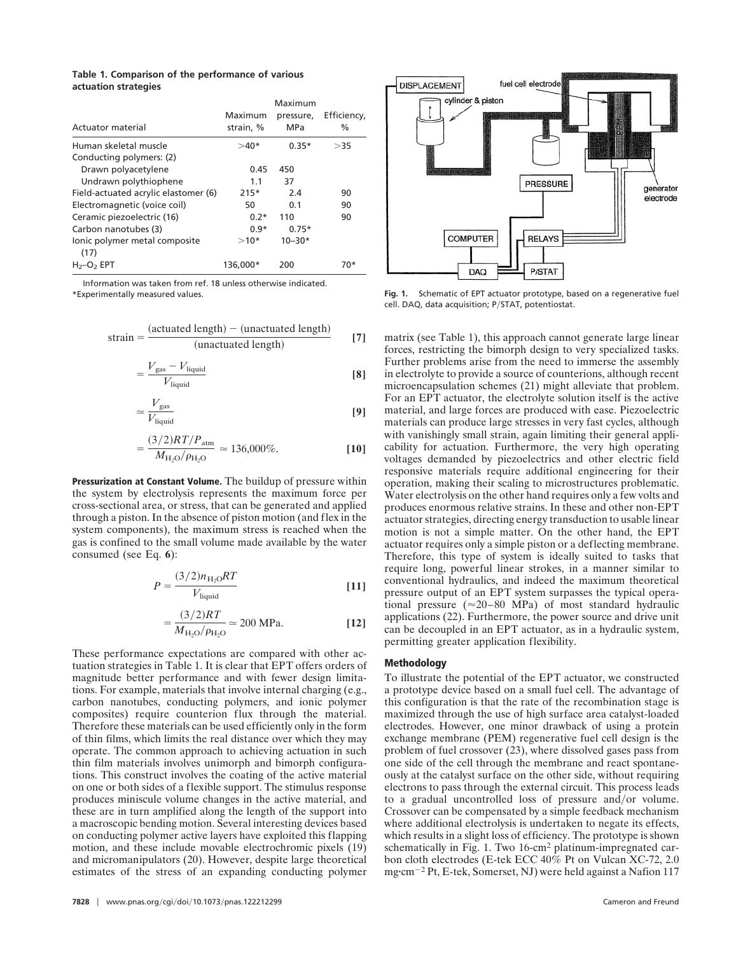#### **Table 1. Comparison of the performance of various actuation strategies**

| Actuator material                    | Maximum              |                         |                  |
|--------------------------------------|----------------------|-------------------------|------------------|
|                                      | Maximum<br>strain, % | pressure,<br><b>MPa</b> | Efficiency,<br>% |
|                                      |                      |                         |                  |
| Conducting polymers: (2)             |                      |                         |                  |
| Drawn polyacetylene                  | 0.45                 | 450                     |                  |
| Undrawn polythiophene                | 1.1                  | 37                      |                  |
| Field-actuated acrylic elastomer (6) | $215*$               | 2.4                     | 90               |
| Electromagnetic (voice coil)         | 50                   | 0.1                     | 90               |
| Ceramic piezoelectric (16)           | $0.2*$               | 110                     | 90               |
| Carbon nanotubes (3)                 | $0.9*$               | $0.75*$                 |                  |
| Ionic polymer metal composite        | $>10*$               | $10 - 30*$              |                  |
| (17)                                 |                      |                         |                  |
| H <sub>2</sub> -O <sub>2</sub> EPT   | 136.000*             | 200                     | 70*              |

Information was taken from ref. 18 unless otherwise indicated.

strain = 
$$
\frac{(actual\ length) - (unactuated\ length)}{(unactuated\ length)}
$$
 [7]

$$
= \frac{V_{\text{gas}} - V_{\text{liquid}}}{V_{\text{liquid}}}
$$
 [8]

$$
\simeq \frac{V_{\text{gas}}}{V_{\text{liquid}}}
$$
 [9]

$$
=\frac{(3/2)RT/P_{\text{atm}}}{M_{\text{H}_2\text{O}}/\rho_{\text{H}_2\text{O}}} \approx 136,000\%.
$$
 [10]

**Pressurization at Constant Volume.** The buildup of pressure within the system by electrolysis represents the maximum force per cross-sectional area, or stress, that can be generated and applied through a piston. In the absence of piston motion (and flex in the system components), the maximum stress is reached when the gas is confined to the small volume made available by the water consumed (see Eq. **6**):

$$
P = \frac{(3/2)n_{\text{H}_2\text{O}}RT}{V_{\text{liquid}}}
$$
 [11]

$$
=\frac{(3/2)RT}{M_{\text{H}_2\text{O}}/\rho_{\text{H}_2\text{O}}} \approx 200 \text{ MPa.}
$$
 [12]

These performance expectations are compared with other actuation strategies in Table 1. It is clear that EPT offers orders of magnitude better performance and with fewer design limitations. For example, materials that involve internal charging (e.g., carbon nanotubes, conducting polymers, and ionic polymer composites) require counterion flux through the material. Therefore these materials can be used efficiently only in the form of thin films, which limits the real distance over which they may operate. The common approach to achieving actuation in such thin film materials involves unimorph and bimorph configurations. This construct involves the coating of the active material on one or both sides of a flexible support. The stimulus response produces miniscule volume changes in the active material, and these are in turn amplified along the length of the support into a macroscopic bending motion. Several interesting devices based on conducting polymer active layers have exploited this flapping motion, and these include movable electrochromic pixels (19) and micromanipulators (20). However, despite large theoretical estimates of the stress of an expanding conducting polymer



\*Experimentally measured values. **Fig. 1.** Schematic of EPT actuator prototype, based on a regenerative fuel cell. DAQ, data acquisition; P/STAT, potentiostat.

matrix (see Table 1), this approach cannot generate large linear forces, restricting the bimorph design to very specialized tasks. Further problems arise from the need to immerse the assembly in electrolyte to provide a source of counterions, although recent microencapsulation schemes (21) might alleviate that problem. For an EPT actuator, the electrolyte solution itself is the active material, and large forces are produced with ease. Piezoelectric materials can produce large stresses in very fast cycles, although with vanishingly small strain, again limiting their general applicability for actuation. Furthermore, the very high operating voltages demanded by piezoelectrics and other electric field responsive materials require additional engineering for their operation, making their scaling to microstructures problematic. Water electrolysis on the other hand requires only a few volts and produces enormous relative strains. In these and other non-EPT actuator strategies, directing energy transduction to usable linear motion is not a simple matter. On the other hand, the EPT actuator requires only a simple piston or a deflecting membrane. Therefore, this type of system is ideally suited to tasks that require long, powerful linear strokes, in a manner similar to conventional hydraulics, and indeed the maximum theoretical pressure output of an EPT system surpasses the typical operational pressure  $(\approx 20-80 \text{ MPa})$  of most standard hydraulic applications (22). Furthermore, the power source and drive unit can be decoupled in an EPT actuator, as in a hydraulic system, permitting greater application flexibility.

#### **Methodology**

To illustrate the potential of the EPT actuator, we constructed a prototype device based on a small fuel cell. The advantage of this configuration is that the rate of the recombination stage is maximized through the use of high surface area catalyst-loaded electrodes. However, one minor drawback of using a protein exchange membrane (PEM) regenerative fuel cell design is the problem of fuel crossover (23), where dissolved gases pass from one side of the cell through the membrane and react spontaneously at the catalyst surface on the other side, without requiring electrons to pass through the external circuit. This process leads to a gradual uncontrolled loss of pressure and/or volume. Crossover can be compensated by a simple feedback mechanism where additional electrolysis is undertaken to negate its effects, which results in a slight loss of efficiency. The prototype is shown schematically in Fig. 1. Two 16-cm<sup>2</sup> platinum-impregnated carbon cloth electrodes (E-tek ECC 40% Pt on Vulcan XC-72, 2.0 mg·cm<sup>-2</sup> Pt, E-tek, Somerset, NJ) were held against a Nafion 117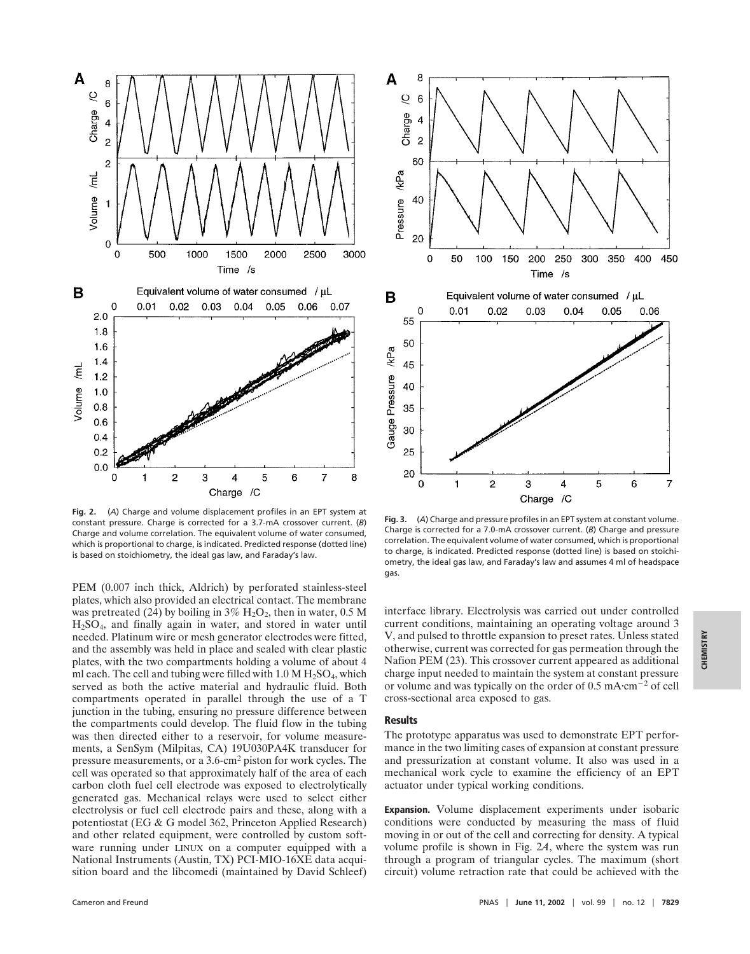

**Fig. 2.** (*A*) Charge and volume displacement profiles in an EPT system at constant pressure. Charge is corrected for a 3.7-mA crossover current. (*B*) Charge and volume correlation. The equivalent volume of water consumed, which is proportional to charge, is indicated. Predicted response (dotted line) is based on stoichiometry, the ideal gas law, and Faraday's law.

PEM (0.007 inch thick, Aldrich) by perforated stainless-steel plates, which also provided an electrical contact. The membrane was pretreated (24) by boiling in  $3\%$  H<sub>2</sub>O<sub>2</sub>, then in water, 0.5 M H2SO4, and finally again in water, and stored in water until needed. Platinum wire or mesh generator electrodes were fitted, and the assembly was held in place and sealed with clear plastic plates, with the two compartments holding a volume of about 4 ml each. The cell and tubing were filled with  $1.0 M H<sub>2</sub>SO<sub>4</sub>$ , which served as both the active material and hydraulic fluid. Both compartments operated in parallel through the use of a T junction in the tubing, ensuring no pressure difference between the compartments could develop. The fluid flow in the tubing was then directed either to a reservoir, for volume measurements, a SenSym (Milpitas, CA) 19U030PA4K transducer for pressure measurements, or a 3.6-cm<sup>2</sup> piston for work cycles. The cell was operated so that approximately half of the area of each carbon cloth fuel cell electrode was exposed to electrolytically generated gas. Mechanical relays were used to select either electrolysis or fuel cell electrode pairs and these, along with a potentiostat (EG & G model 362, Princeton Applied Research) and other related equipment, were controlled by custom software running under LINUX on a computer equipped with a National Instruments (Austin, TX) PCI-MIO-16XE data acquisition board and the libcomedi (maintained by David Schleef)



**Fig. 3.** (*A*) Charge and pressure profiles in an EPT system at constant volume. Charge is corrected for a 7.0-mA crossover current. (*B*) Charge and pressure correlation. The equivalent volume of water consumed, which is proportional to charge, is indicated. Predicted response (dotted line) is based on stoichiometry, the ideal gas law, and Faraday's law and assumes 4 ml of headspace gas.

interface library. Electrolysis was carried out under controlled current conditions, maintaining an operating voltage around 3 V, and pulsed to throttle expansion to preset rates. Unless stated otherwise, current was corrected for gas permeation through the Nafion PEM (23). This crossover current appeared as additional charge input needed to maintain the system at constant pressure or volume and was typically on the order of  $0.5 \text{ mA} \cdot \text{cm}^{-2}$  of cell cross-sectional area exposed to gas.

### **Results**

The prototype apparatus was used to demonstrate EPT performance in the two limiting cases of expansion at constant pressure and pressurization at constant volume. It also was used in a mechanical work cycle to examine the efficiency of an EPT actuator under typical working conditions.

**Expansion.** Volume displacement experiments under isobaric conditions were conducted by measuring the mass of fluid moving in or out of the cell and correcting for density. A typical volume profile is shown in Fig. 2*A*, where the system was run through a program of triangular cycles. The maximum (short circuit) volume retraction rate that could be achieved with the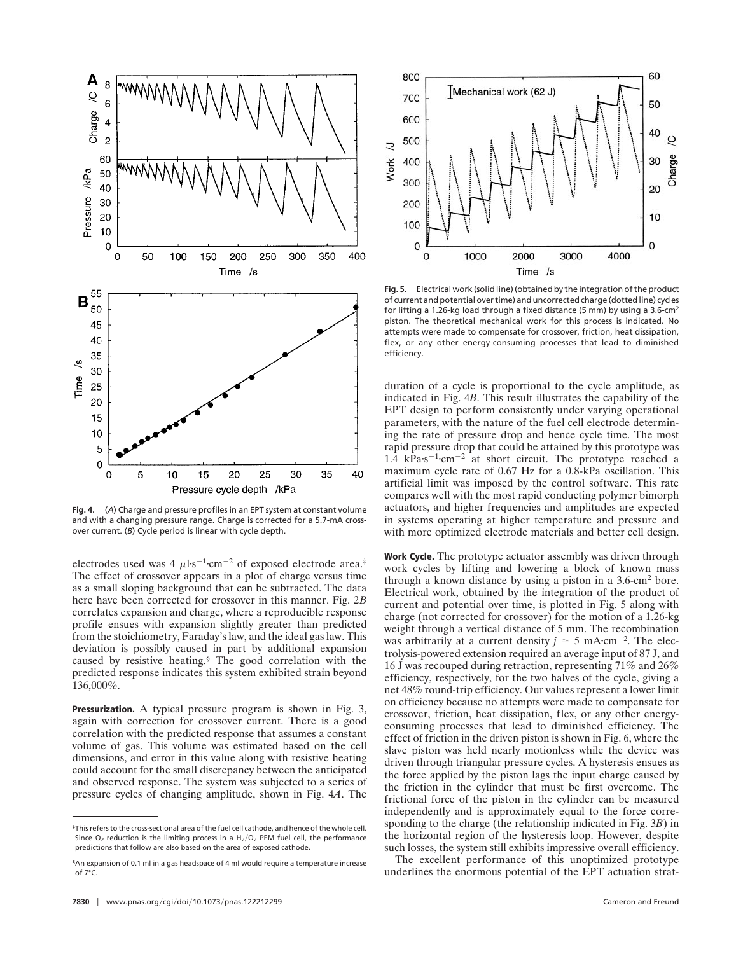

**Fig. 4.** (*A*) Charge and pressure profiles in an EPT system at constant volume and with a changing pressure range. Charge is corrected for a 5.7-mA crossover current. (*B*) Cycle period is linear with cycle depth.

electrodes used was 4  $\mu$ l·s<sup>-1</sup>·cm<sup>-2</sup> of exposed electrode area.<sup>‡</sup> The effect of crossover appears in a plot of charge versus time as a small sloping background that can be subtracted. The data here have been corrected for crossover in this manner. Fig. 2*B* correlates expansion and charge, where a reproducible response profile ensues with expansion slightly greater than predicted from the stoichiometry, Faraday's law, and the ideal gas law. This deviation is possibly caused in part by additional expansion caused by resistive heating.§ The good correlation with the predicted response indicates this system exhibited strain beyond 136,000%.

**Pressurization.** A typical pressure program is shown in Fig. 3, again with correction for crossover current. There is a good correlation with the predicted response that assumes a constant volume of gas. This volume was estimated based on the cell dimensions, and error in this value along with resistive heating could account for the small discrepancy between the anticipated and observed response. The system was subjected to a series of pressure cycles of changing amplitude, shown in Fig. 4*A*. The



**Fig. 5.** Electrical work (solid line) (obtained by the integration of the product of current and potential over time) and uncorrected charge (dotted line) cycles for lifting a 1.26-kg load through a fixed distance (5 mm) by using a 3.6-cm2 piston. The theoretical mechanical work for this process is indicated. No attempts were made to compensate for crossover, friction, heat dissipation, flex, or any other energy-consuming processes that lead to diminished efficiency.

duration of a cycle is proportional to the cycle amplitude, as indicated in Fig. 4*B*. This result illustrates the capability of the EPT design to perform consistently under varying operational parameters, with the nature of the fuel cell electrode determining the rate of pressure drop and hence cycle time. The most rapid pressure drop that could be attained by this prototype was  $1.\overline{4}$  kPa·s<sup>-1</sup>·cm<sup>-2</sup> at short circuit. The prototype reached a maximum cycle rate of 0.67 Hz for a 0.8-kPa oscillation. This artificial limit was imposed by the control software. This rate compares well with the most rapid conducting polymer bimorph actuators, and higher frequencies and amplitudes are expected in systems operating at higher temperature and pressure and with more optimized electrode materials and better cell design.

**Work Cycle.** The prototype actuator assembly was driven through work cycles by lifting and lowering a block of known mass through a known distance by using a piston in a 3.6-cm<sup>2</sup> bore. Electrical work, obtained by the integration of the product of current and potential over time, is plotted in Fig. 5 along with charge (not corrected for crossover) for the motion of a 1.26-kg weight through a vertical distance of 5 mm. The recombination was arbitrarily at a current density  $j \approx 5$  mA $\cdot$ cm<sup>-2</sup>. The electrolysis-powered extension required an average input of 87 J, and 16 J was recouped during retraction, representing 71% and 26% efficiency, respectively, for the two halves of the cycle, giving a net 48% round-trip efficiency. Our values represent a lower limit on efficiency because no attempts were made to compensate for crossover, friction, heat dissipation, flex, or any other energyconsuming processes that lead to diminished efficiency. The effect of friction in the driven piston is shown in Fig. 6, where the slave piston was held nearly motionless while the device was driven through triangular pressure cycles. A hysteresis ensues as the force applied by the piston lags the input charge caused by the friction in the cylinder that must be first overcome. The frictional force of the piston in the cylinder can be measured independently and is approximately equal to the force corresponding to the charge (the relationship indicated in Fig. 3*B*) in the horizontal region of the hysteresis loop. However, despite such losses, the system still exhibits impressive overall efficiency.

The excellent performance of this unoptimized prototype underlines the enormous potential of the EPT actuation strat-

<sup>‡</sup>This refers to the cross-sectional area of the fuel cell cathode, and hence of the whole cell. Since  $O_2$  reduction is the limiting process in a  $H_2/O_2$  PEM fuel cell, the performance predictions that follow are also based on the area of exposed cathode.

<sup>§</sup>An expansion of 0.1 ml in a gas headspace of 4 ml would require a temperature increase of 7°C.